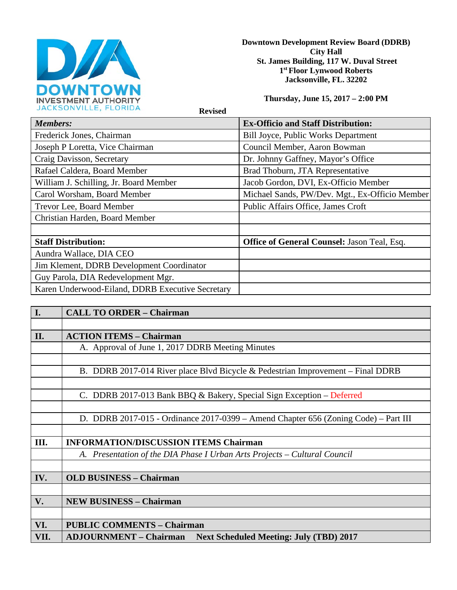

**Downtown Development Review Board (DDRB) City Hall St. James Building, 117 W. Duval Street 1st Floor Lynwood Roberts Jacksonville, FL. 32202** 

**Thursday, June 15, 2017 – 2:00 PM**

 **Revised** 

| <b>Members:</b>                                  | <b>Ex-Officio and Staff Distribution:</b>          |
|--------------------------------------------------|----------------------------------------------------|
| Frederick Jones, Chairman                        | <b>Bill Joyce, Public Works Department</b>         |
| Joseph P Loretta, Vice Chairman                  | Council Member, Aaron Bowman                       |
| Craig Davisson, Secretary                        | Dr. Johnny Gaffney, Mayor's Office                 |
| Rafael Caldera, Board Member                     | Brad Thoburn, JTA Representative                   |
| William J. Schilling, Jr. Board Member           | Jacob Gordon, DVI, Ex-Officio Member               |
| Carol Worsham, Board Member                      | Michael Sands, PW/Dev. Mgt., Ex-Officio Member     |
| Trevor Lee, Board Member                         | Public Affairs Office, James Croft                 |
| Christian Harden, Board Member                   |                                                    |
|                                                  |                                                    |
| <b>Staff Distribution:</b>                       | <b>Office of General Counsel: Jason Teal, Esq.</b> |
| Aundra Wallace, DIA CEO                          |                                                    |
| Jim Klement, DDRB Development Coordinator        |                                                    |
| Guy Parola, DIA Redevelopment Mgr.               |                                                    |
| Karen Underwood-Eiland, DDRB Executive Secretary |                                                    |

| I.   | <b>CALL TO ORDER - Chairman</b>                                                     |
|------|-------------------------------------------------------------------------------------|
|      |                                                                                     |
| II.  | <b>ACTION ITEMS - Chairman</b>                                                      |
|      | A. Approval of June 1, 2017 DDRB Meeting Minutes                                    |
|      |                                                                                     |
|      | B. DDRB 2017-014 River place Blvd Bicycle & Pedestrian Improvement – Final DDRB     |
|      |                                                                                     |
|      | C. DDRB 2017-013 Bank BBQ & Bakery, Special Sign Exception – Deferred               |
|      |                                                                                     |
|      | D. DDRB 2017-015 - Ordinance 2017-0399 - Amend Chapter 656 (Zoning Code) - Part III |
|      |                                                                                     |
| III. | <b>INFORMATION/DISCUSSION ITEMS Chairman</b>                                        |
|      | A. Presentation of the DIA Phase I Urban Arts Projects – Cultural Council           |
|      |                                                                                     |
| IV.  | <b>OLD BUSINESS - Chairman</b>                                                      |
|      |                                                                                     |
| V.   | <b>NEW BUSINESS - Chairman</b>                                                      |
|      |                                                                                     |
| VI.  | <b>PUBLIC COMMENTS - Chairman</b>                                                   |
| VII. | <b>ADJOURNMENT – Chairman</b> Next Scheduled Meeting: July (TBD) 2017               |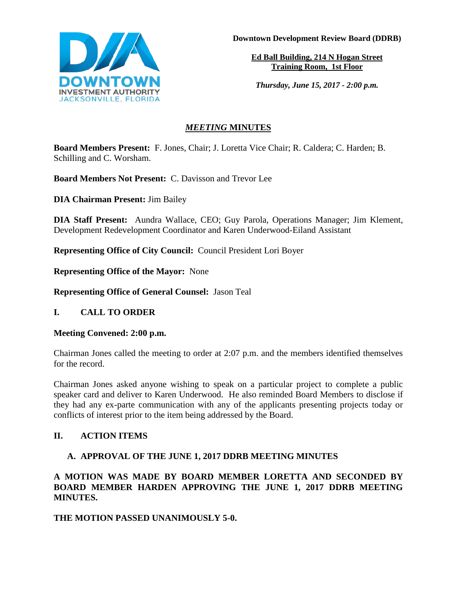

**Downtown Development Review Board (DDRB)**

**Ed Ball Building, 214 N Hogan Street Training Room, 1st Floor**

*Thursday, June 15, 2017 - 2:00 p.m.*

# *MEETING* **MINUTES**

**Board Members Present:** F. Jones, Chair; J. Loretta Vice Chair; R. Caldera; C. Harden; B. Schilling and C. Worsham.

**Board Members Not Present:** C. Davisson and Trevor Lee

**DIA Chairman Present:** Jim Bailey

**DIA Staff Present:** Aundra Wallace, CEO; Guy Parola, Operations Manager; Jim Klement, Development Redevelopment Coordinator and Karen Underwood-Eiland Assistant

**Representing Office of City Council:** Council President Lori Boyer

**Representing Office of the Mayor:** None

**Representing Office of General Counsel:** Jason Teal

**I. CALL TO ORDER**

**Meeting Convened: 2:00 p.m.** 

Chairman Jones called the meeting to order at 2:07 p.m. and the members identified themselves for the record.

Chairman Jones asked anyone wishing to speak on a particular project to complete a public speaker card and deliver to Karen Underwood. He also reminded Board Members to disclose if they had any ex-parte communication with any of the applicants presenting projects today or conflicts of interest prior to the item being addressed by the Board.

# **II. ACTION ITEMS**

# **A. APPROVAL OF THE JUNE 1, 2017 DDRB MEETING MINUTES**

**A MOTION WAS MADE BY BOARD MEMBER LORETTA AND SECONDED BY BOARD MEMBER HARDEN APPROVING THE JUNE 1, 2017 DDRB MEETING MINUTES.** 

# **THE MOTION PASSED UNANIMOUSLY 5-0.**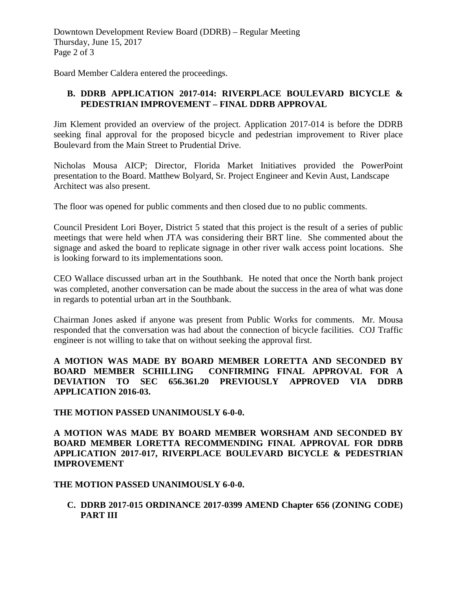Downtown Development Review Board (DDRB) – Regular Meeting Thursday, June 15, 2017 Page 2 of 3

Board Member Caldera entered the proceedings.

### **B. DDRB APPLICATION 2017-014: RIVERPLACE BOULEVARD BICYCLE & PEDESTRIAN IMPROVEMENT – FINAL DDRB APPROVAL**

Jim Klement provided an overview of the project. Application 2017-014 is before the DDRB seeking final approval for the proposed bicycle and pedestrian improvement to River place Boulevard from the Main Street to Prudential Drive.

Nicholas Mousa AICP; Director, Florida Market Initiatives provided the PowerPoint presentation to the Board. Matthew Bolyard, Sr. Project Engineer and Kevin Aust, Landscape Architect was also present.

The floor was opened for public comments and then closed due to no public comments.

Council President Lori Boyer, District 5 stated that this project is the result of a series of public meetings that were held when JTA was considering their BRT line. She commented about the signage and asked the board to replicate signage in other river walk access point locations. She is looking forward to its implementations soon.

CEO Wallace discussed urban art in the Southbank. He noted that once the North bank project was completed, another conversation can be made about the success in the area of what was done in regards to potential urban art in the Southbank.

Chairman Jones asked if anyone was present from Public Works for comments. Mr. Mousa responded that the conversation was had about the connection of bicycle facilities. COJ Traffic engineer is not willing to take that on without seeking the approval first.

**A MOTION WAS MADE BY BOARD MEMBER LORETTA AND SECONDED BY BOARD MEMBER SCHILLING CONFIRMING FINAL APPROVAL FOR A DEVIATION TO SEC 656.361.20 PREVIOUSLY APPROVED VIA DDRB APPLICATION 2016-03.** 

#### **THE MOTION PASSED UNANIMOUSLY 6-0-0.**

**A MOTION WAS MADE BY BOARD MEMBER WORSHAM AND SECONDED BY BOARD MEMBER LORETTA RECOMMENDING FINAL APPROVAL FOR DDRB APPLICATION 2017-017, RIVERPLACE BOULEVARD BICYCLE & PEDESTRIAN IMPROVEMENT** 

#### **THE MOTION PASSED UNANIMOUSLY 6-0-0.**

**C. DDRB 2017-015 ORDINANCE 2017-0399 AMEND Chapter 656 (ZONING CODE) PART III**